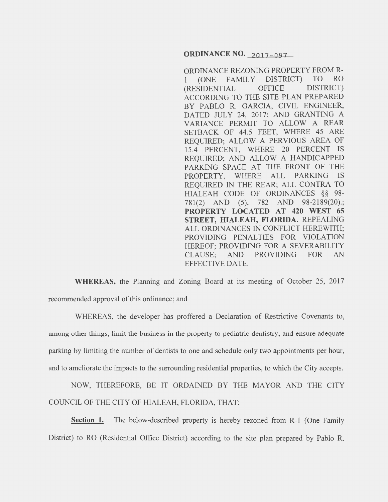## **ORDINANCE NO.** 2017-097

ORDINANCE REZONING PROPERTY FROM R-1 (ONE FAMILY DISTRICT) TO RO (RESIDENTIAL OFFICE DISTRICT) ACCORDING TO THE SITE PLAN PREPARED BY PABLO R. GARCIA, CIVIL ENGINEER, DATED JULY 24, 2017; AND GRANTING A VARIANCE PERMIT TO ALLOW A REAR SETBACK OF 44.5 FEET, WHERE 45 ARE REQUIRED; ALLOW A PERVIOUS AREA OF 15.4 PERCENT, WHERE 20 PERCENT IS REQUIRED; AND ALLOW A HANDICAPPED PARKING SPACE AT THE FRONT OF THE PROPERTY, WHERE ALL PARKING IS REQUIRED IN THE REAR; ALL CONTRA TO HIALEAH CODE OF ORDINANCES §§ 98- 781(2) AND (5), 782 AND 98-2189(20).; **PROPERTY LOCATED AT 420 WEST 65 STREET, HIALEAH, FLORIDA.** REPEALING ALL ORDINANCES IN CONFLICT HEREWITH; PROVIDING PENALTIES FOR VIOLATION HEREOF; PROVIDING FOR A SEVERABILITY CLAUSE; AND PROVIDING FOR AN EFFECTIVE DATE.

**WHEREAS,** the Planning and Zoning Board at its meeting of October 25, 2017 recommended approval of this ordinance; and

WHEREAS, the developer has proffered a Declaration of Restrictive Covenants to, among other things, limit the business in the property to pediatric dentistry, and ensure adequate parking by limiting the number of dentists to one and schedule only two appointments per hour, and to ameliorate the impacts to the surrounding residential properties, to which the City accepts.

NOW, THEREFORE, BE IT ORDAINED BY THE MAYOR AND THE CITY COUNCIL OF THE CITY OF HIALEAH, FLORIDA, THAT:

**Section 1.** The below-described property is hereby rezoned from R-1 (One Family District) to RO (Residential Office District) according to the site plan prepared by Pablo R.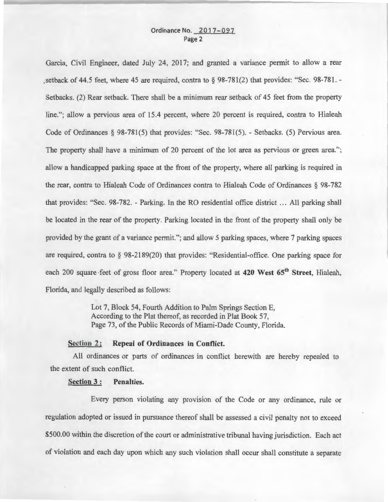# Ordinance No. 2017-097 Page 2

Garcia, Civil Engineer, dated July 24, 2017; and granted a variance permit to allow a rear , setback of 44.5 feet, where 45 are required, contra to § 98-781(2) that provides: "Sec. 98-781. -Setbacks. (2) Rear setback. There shall be a minimum rear setback of 45 feet from the property line."; allow a pervious area of 15.4 percent, where 20 percent is required, contra to Hialeah Code of Ordinances § 98-781(5) that provides: "Sec. 98-781(5). - Setbacks. (5) Pervious area. The property shall have a minimum of 20 percent of the lot area as pervious or green area."; allow a handicapped parking space at the front of the property, where all parking is required in the rear, contra to Hialeah Code of Ordinances contra to Hialeah Code of Ordinances § 98-782 that provides: "Sec. 98-782. - Parking. In the RO residential office district ... All parking shall be located in the rear of the property. Parking located in the front of the property shall only be provided by the grant of a variance permit."; and allow 5 parking spaces, where 7 parking spaces are required, contra to § 98-2189(20) that provides: "Residential-office. One parking space for each 200 square feet of gross floor area." Property located at 420 West 65<sup>th</sup> Street, Hialeah, Florida, and legally described as follows:

> Lot 7, Block 54, Fourth Addition to Palm Springs Section E, According to the Plat thereof, as recorded in Plat Book 57, Page 73, of the Public Records of Miami-Dade County, Florida.

## Section 2: Repeal of Ordinances in Conflict.

All ordinances or parts of ordinances in conflict herewith are hereby repealed to the extent of such conflict.

#### Section 3 : Penalties.

Every person violating any provision of the Code or any ordinance, rule or regulation adopted or issued in pursuance thereof shall be assessed a civil penalty not to exceed \$500.00 within the discretion of the court or administrative tribunal having jurisdiction. Each act of violation and each day upon which any such violation shall occur shall constitute a separate